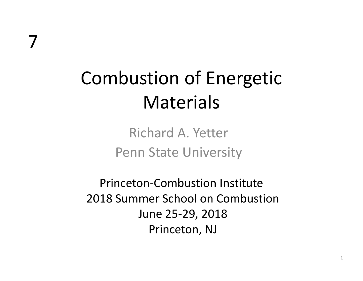# Combustion of Energetic **Materials**

Richard A. Yetter Penn State University

Princeton‐Combustion Institute 2018 Summer School on Combustion June 25‐29, 2018 Princeton, NJ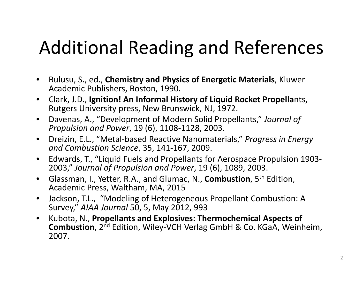## Additional Reading and References

- $\bullet$  Bulusu, S., ed., **Chemistry and Physics of Energetic Materials**, Kluwer Academic Publishers, Boston, 1990.
- $\bullet$  Clark, J.D., **Ignition! An Informal History of Liquid Rocket Propella**nts, Rutgers University press, New Brunswick, NJ, 1972.
- $\bullet$ Davenas, A., "Development of Modern Solid Propellants," *Journal of Propulsion and Power*, 19 (6), 1108‐1128, 2003.
- $\bullet$  Dreizin, E.L., "Metal‐based Reactive Nanomaterials," *Progress in Energy and Combustion Science*, 35, 141‐167, 2009.
- $\bullet$ • Edwards, T., "Liquid Fuels and Propellants for Aerospace Propulsion 1903-2003," *Journal of Propulsion and Power*, 19 (6), 1089, 2003.
- $\bullet$  Glassman, I., Yetter, R.A., and Glumac, N., **Combustion**, 5th Edition, Academic Press, Waltham, MA, 2015
- $\bullet$  Jackson, T.L., "Modeling of Heterogeneous Propellant Combustion: A Survey," *AIAA Journal* 50, 5, May 2012, 993
- $\bullet$  Kubota, N., **Propellants and Explosives: Thermochemical Aspects of Combustion**, 2<sup>nd</sup> Edition, Wiley-VCH Verlag GmbH & Co. KGaA, Weinheim, 2007.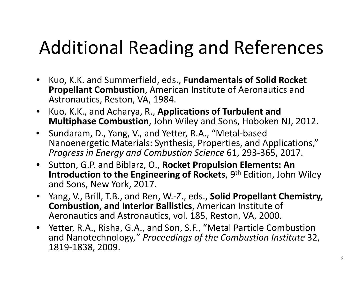## Additional Reading and References

- Kuo, K.K. and Summerfield, eds., **Fundamentals of Solid Rocket Propellant Combustion**, American Institute of Aeronautics and Astronautics, Reston, VA, 1984.
- $\bullet$  Kuo, K.K., and Acharya, R., **Applications of Turbulent and Multiphase Combustion**, John Wiley and Sons, Hoboken NJ, 2012.
- $\bullet$  Sundaram, D., Yang, V., and Yetter, R.A., "Metal‐based Nanoenergetic Materials: Synthesis, Properties, and Applications," *Progress in Energy and Combustion Science* 61, 293‐365, 2017.
- Sutton, G.P. and Biblarz, O., **Rocket Propulsion Elements: An Introduction to the Engineering of Rockets**, 9th Edition, John Wiley and Sons, New York, 2017.
- Yang, V., B ill <sup>r</sup> , T B. ., and Ren, W.‐Z., eds., **S lid <sup>o</sup> P ll rope ant Ch i em stry, Combustion, and Interior Ballistics**, American Institute of Aeronautics and Astronautics, vol. 185, Reston, VA, 2000.
- $\bullet$ Yetter, R.A., Risha, G.A., and Son, S.F., "Metal Particle Combustion and Nanotechnology*,*" *Proceedings of the Combustion Institute* 32, 1819‐1838, 2009.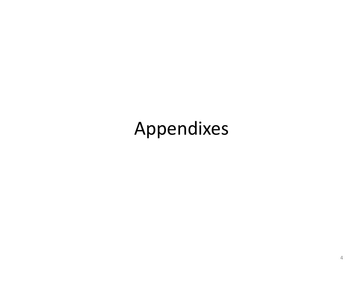## Appendixes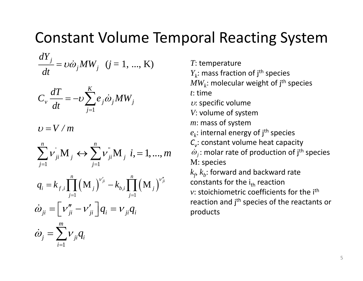#### Constant Volume Temporal Reacting System

$$
\frac{dY_j}{dt} = v\dot{\omega}_j MW_j \quad (j = 1, ..., K)
$$

$$
C_{\nu} \frac{dT}{dt} = -\nu \sum_{j=1}^{K} e_j \dot{\omega}_j MW_j
$$

 $v = V/m$ 

$$
\sum_{j=1}^{n}v_{ji}^{'}\mathbf{M}_{j} \leftrightarrow \sum_{j=1}^{n}v_{ji}^{''}\mathbf{M}_{j} \ \ i, = 1,...,m
$$

$$
q_{i} = k_{f,i} \prod_{j=1}^{n} (\mathbf{M}_{j})^{V'_{ji}} - k_{b,i} \prod_{j=1}^{n} (\mathbf{M}_{j})^{V''_{ji}}
$$

$$
\dot{\omega}_{ji} = \left[ V''_{ji} - V'_{ji} \right] q_{i} = V_{ji} q_{i}
$$

$$
\dot{\omega}_{j} = \sum_{i=1}^{m} v_{ji} q_{i}
$$

*m*

T: temperature

 $Y_k$ : mass fraction of j<sup>th</sup> species

 $MW_{k}$ : molecular weight of j<sup>th</sup> species

*t*: time

 $$ 

- *V*: volume of system
- *m*: mass of system
- $e_k$ : internal energy of j<sup>th</sup> species
- $C_{\nu}$ : constant volume heat capacity

: molar rate of production of jth <sup>ω</sup> *<sup>j</sup>* species ' " <sup>M</sup> <sup>M</sup> , 1,..., M: species

> $k_f$ ,  $k_b$ : forward and backward rate constants for the i<sub>th</sub> reaction *<sup>v</sup>*: stoichiometric coefficients for the ith ireaction and j<sup>th</sup> species of the reactants or products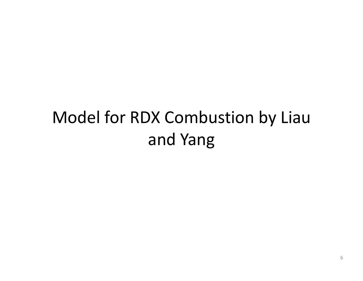### Model for RDX Combustion by Liau and Yang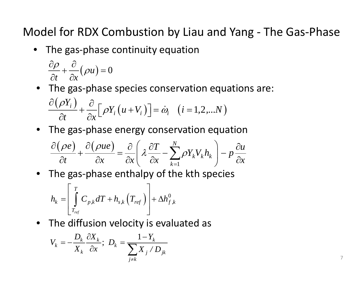Model for RDX Combustion by Liau and Yang ‐ The Gas‐Phase

• The gas‐phase continuity equation

$$
\frac{\partial \rho}{\partial t} + \frac{\partial}{\partial x}(\rho u) = 0
$$

- $\bullet$  The gas-phase species conservation equations are:  $\frac{\partial ( \rho Y_i )}{\partial t} + \frac{\partial}{\partial x} \Big[ \rho Y_i \big( u + V_i \big) \Big] = \dot{\omega}_i \quad \big( i = 1, 2, ... N \big)$
- The gas‐phase energy conservation equation

$$
\frac{\partial(\rho e)}{\partial t} + \frac{\partial(\rho u e)}{\partial x} = \frac{\partial}{\partial x} \left( \lambda \frac{\partial T}{\partial x} - \sum_{k=1}^{N} \rho Y_k V_k h_k \right) - p \frac{\partial u}{\partial x}
$$

• The gas‐phase enthalpy of the kth species

$$
h_{k} = \left[ \int\limits_{T_{ref}}^{T} C_{p,k} dT + h_{s,k} \left( T_{ref} \right) \right] + \Delta h_{f,k}^{0}
$$

• The diffusion velocity is evaluated as

$$
V_k = -\frac{D_k}{X_k} \frac{\partial X_k}{\partial x}; \ D_k = \frac{1 - Y_k}{\sum_{j \neq k} X_j / D_{jk}}
$$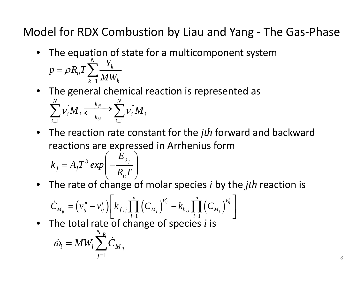Model for RDX Combustion by Liau and Yang ‐ The Gas ‐Phase

- The equation of state for a multicomponent system 1 $\sum_{k=1}^{N}\frac{Y_k}{MW_k}$  $p = \rho R_u T \sum_{i=1}^N \frac{Y_i}{T}$ *MW* $= \rho R_u T \sum$ =
- $\bullet$  The general chemical reaction is represented as  $\mathbf{M} \longrightarrow \mathbb{R}$ 1  $j = 1$ *fj bj*  $\frac{N}{\sqrt{N}}$  *k***<sub>fi</sub>** *N ii i i k i i* $\sum v_i M_i \xleftarrow{\kappa_f \to} \sum v_i^{\dagger} M$ =<sup>=</sup>
- The reaction rate constant for the *jth* forward and backward reactions are expressed in Arrhenius form

$$
k_j = A_j T^b \exp\left(-\frac{E_{a_j}}{R_u T}\right)
$$

• The rate of change of molar species *i* by the *jth* reaction is

$$
\dot{C}_{M_{ij}} = \left(v_{ij}'' - v_{ij}'\right) \left[k_{f,j} \prod_{i=1}^{n} \left(C_{M_i}\right)^{v_{ij}'} - k_{b,j} \prod_{i=1}^{n} \left(C_{M_i}\right)^{v_{ij}''}\right]
$$

•• The total rate of change of species *i* is

$$
\dot{\omega}_i = MW_i \sum_{j=1}^{N_R} \dot{C}_{M_{ij}}
$$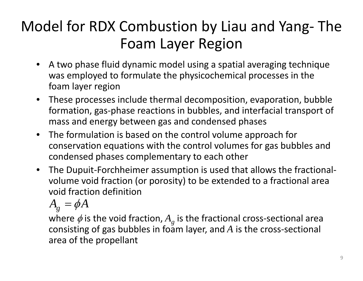### Model for RDX Combustion by Liau and Yang‐ The Foam Layer Region

- A two phase fluid dynamic model using <sup>a</sup> spatial averaging technique was employed to formulate the physicochemical processes in the foam layer region
- $\bullet$  These processes include thermal decomposition, evaporation, bubble formation, gas‐phase reactions in bubbles, and interfacial transport of mass and energy between gas and condensed phases
- $\bullet$  The formulation is based on the control volume approach for conservation equations with the control volumes for gas bubbles and condensed phases complementary to each other
- The Dupuit‐Forchheimer assumption is used that allows the fractional‐ volume void fraction (or porosity) to be extended to <sup>a</sup> fractional area void fraction definition

 $A_{g} = \phi A$ 

where  $\phi$  is the void fraction,  $A_{g}$  is the fractional cross-sectional area consisting of gas bubbles in foam layer, and  $A$  is the cross-sectional area of the propellant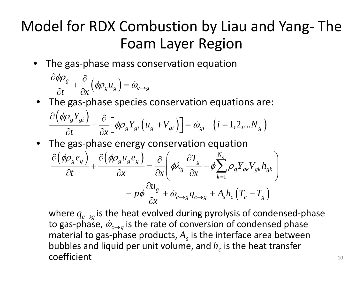#### Model for RDX Combustion by Liau and Yang ‐ The Foam Layer Region

• The gas ‐phase mass conservation equation

$$
\frac{\partial \phi \rho_g}{\partial t} + \frac{\partial}{\partial x} (\phi \rho_g u_g) = \dot{\omega}_{c \to g}
$$

- The gas ‐phase species conservation equations are: ( )  $\left[\frac{\phi \rho_g Y_{gi}}{\partial t} + \frac{\partial}{\partial x} \left[ \phi \rho_g Y_{gi} \left( u_g + V_{gi} \right) \right] \right] = \dot{\omega}_{gi} \quad (i = 1, 2, ... N_g)$  $\partial\big(\!\not{\!\partial \! \rho}_s Y_{si}\big)$   $\partial$  $\frac{\partial_g f}{\partial t} \frac{g_i}{\partial x} f + \frac{\partial}{\partial x} \left[ \phi \rho_g Y_{gi} \left( u_g + V_{gi} \right) \right] = \dot{\omega}_{gi} \quad (i = 1, 2, ...N_g)$
- The gas ‐phase energy conservation equation

$$
\frac{\partial (\phi \rho_g e_g)}{\partial t} + \frac{\partial (\phi \rho_g u_g e_g)}{\partial x} = \frac{\partial}{\partial x} \left( \phi \lambda_g \frac{\partial T_g}{\partial x} - \phi \sum_{k=1}^{N_g} \rho_g Y_{gk} V_{gk} h_{gk} \right) \n- p \phi \frac{\partial u_g}{\partial x} + \dot{\omega}_{c \to g} q_{c \to g} + A_s h_c (T_c - T_g)
$$

where  $q_{c \to g}$  is the heat evolved during pyrolysis of condensed-phase to gas-phase,  $\dot{\omega}_{c \to g}$  is the rate of conversion of condensed phase material to gas-phase products*,*  $A_{_S}$  is the interface area between bubbles and liquid per unit volume, and  $h_c^{\phantom{\dagger}}$  is the heat transfer coefficient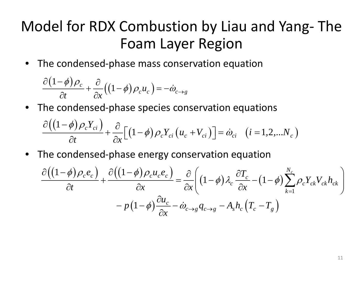### Model for RDX Combustion by Liau and Yang‐ The Foam Layer Region

• The condensed‐phase mass conservation equation

$$
\frac{\partial (1-\phi)\rho_c}{\partial t} + \frac{\partial}{\partial x}((1-\phi)\rho_c u_c) = -\dot{\omega}_{c \to g}
$$

• The condensed‐phase species conservation equations

$$
\frac{\partial ((1-\phi)\rho_c Y_{ci})}{\partial t} + \frac{\partial}{\partial x} \Big[ (1-\phi)\rho_c Y_{ci} (u_c + V_{ci}) \Big] = \dot{\omega}_{ci} \quad (i=1,2,...N_c)
$$

• The condensed-phase energy conservation equation

$$
\frac{\partial \left( \left( 1 - \phi \right) \rho_c e_c \right)}{\partial t} + \frac{\partial \left( \left( 1 - \phi \right) \rho_c u_c e_c \right)}{\partial x} = \frac{\partial}{\partial x} \left( \left( 1 - \phi \right) \lambda_c \frac{\partial T_c}{\partial x} - \left( 1 - \phi \right) \sum_{k=1}^{N_c} \rho_c Y_{ck} V_{ck} h_{ck} \right) - p \left( 1 - \phi \right) \frac{\partial u_c}{\partial x} - \dot{\omega}_{c \to g} q_{c \to g} - A_s h_c \left( T_c - T_g \right)
$$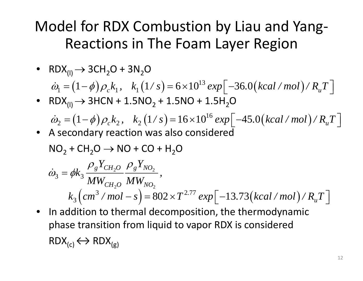### Model for RDX Combustion by Liau and Yang‐ Reactions in The Foam Layer Region

• RDX $_{\textrm{\tiny{(1)}}}\rightarrow$  3CH $_{2}$ O + 3N $_{2}$ O

$$
\dot{\omega}_1 = (1 - \phi) \rho_c k_1, \quad k_1 (1/s) = 6 \times 10^{13} \exp\left[-36.0(kcal/mol)/R_u T\right]
$$

• RDX $_{\textrm{\tiny{(I)}}}\rightarrow$  3HCN + 1.5NO $_{2}$  + 1.5NO + 1.5H $_{2}$ O

$$
\dot{\omega}_2 = (1 - \phi) \rho_c k_2, \quad k_2 (1/s) = 16 \times 10^{16} \exp \left[ -45.0 \left( kcal / mol \right) / R_u T \right]
$$

•A secondary reaction was also considered

$$
NO2 + CH2O \rightarrow NO + CO + H2O
$$
  
\n
$$
\dot{\omega}_3 = \phi k_3 \frac{\rho_g Y_{CH_2O}}{MW_{CH_2O}} \frac{\rho_g Y_{NO_2}}{MW_{NO_2}},
$$

$$
k_3\left(cm^3/mol - s\right) = 802 \times T^{2.77} \exp\left[-13.73\left(kcal/mol\right)/R_uT\right]
$$

• In addition to thermal decomposition, the thermodynamic phase transition from liquid to vapor RDX is considered  $RDX_{(c)} \longleftrightarrow RDX_{(g)}$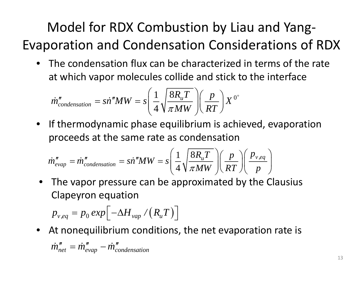### Model for RDX Combustion by Liau and Yang‐ Evaporation and Condensation Considerations of RDX

 $\bullet$  The condensation flux can be characterized in terms of the rate at which vapor molecules collide and stick to the interface

$$
\dot{m}''_{condensation} = \dot{si}''MW = s \left(\frac{1}{4} \sqrt{\frac{8R_uT}{\pi MW}}\right) \left(\frac{p}{RT}\right) X^{0^+}
$$

 $\bullet$  If thermodynamic phase equilibrium is achieved, evaporation proceeds at the same rate as condensation

$$
\dot{m}''_{evap} = \dot{m}''_{condensation} = \dot{si}''MW = s\left(\frac{1}{4}\sqrt{\frac{8R_uT}{\pi MW}}\right)\left(\frac{p}{RT}\right)\left(\frac{P_{v,eq}}{p}\right)
$$

• The vapor pressure can be approximated by the Clausius Clapeyron equation

$$
p_{v,eq} = p_0 \exp \left[ -\Delta H_{vap} / (R_u T) \right]
$$

•At nonequilibrium conditions, the net evaporation rate is

$$
\dot{m}''_{net} = \dot{m}''_{evap} - \dot{m}''_{condensation}
$$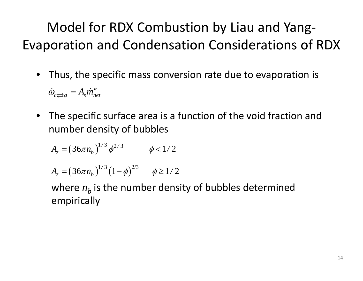### Model for RDX Combustion by Liau and Yang‐ Evaporation and Condensation Considerations of RDX

•Thus, the specific mass conversion rate due to evaporation is

 $\omega$  $\dot{\omega}_{c}\textcolor{red}{\rightleftharpoons} g = A_{s}\dot{m}''_{net}$ 

• The specific surface area is <sup>a</sup> function of the void fraction and number density of bubbles

$$
A_s = (36\pi n_b)^{1/3} \phi^{2/3} \qquad \phi < 1/2
$$

$$
A_s = (36\pi n_b)^{1/3} (1 - \phi)^{2/3} \qquad \phi \ge 1/2
$$

where  $n_{b}^{{}}$  is the number density of bubbles determined empirically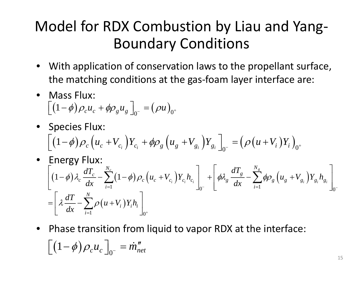### Model for RDX Combustion by Liau and Yang‐ Boundary Conditions

- With application of conservation laws to the propellant surface, the matching conditions at the gas‐foam layer interface are:
- Mass Flux:  $\left[ ( 1 - \phi ) \rho_c u_c + \phi \rho_g u_g \right]_{0^-} = \left( \rho u \right)_{0^+}$
- Species Flux:  $\left[\left(1-\phi\right)\rho_{c}\left(u_{c}+V_{c_{i}}\right)Y_{c_{i}}+\phi\rho_{g}\left(u_{g}+V_{g_{i}}\right)Y_{g_{i}}\right]_{0^{-}}=\left(\rho\left(u+V_{i}\right)Y_{i}\right)_{0^{+}}$

• Energy Flux:  
\n
$$
\left[ (1-\phi) \lambda_c \frac{dT_c}{dx} - \sum_{i=1}^{N_c} (1-\phi) \rho_c (u_c + V_{c_i}) Y_{c_i} h_{c_i} \right]_{0^-} + \left[ \phi \lambda_g \frac{dT_g}{dx} - \sum_{i=1}^{N_g} \phi \rho_g (u_g + V_{g_i}) Y_{g_i} h_{g_i} \right]_{0^-}
$$
\n
$$
= \left[ \lambda \frac{dT}{dx} - \sum_{i=1}^{N} \rho (u + V_i) Y_i h_i \right]_{0^+}
$$

 $\bullet$  Phase transition from liquid to vapor RDX at the interface:  $\left[ \left( 1 - \phi \right) \rho_c u_c \, \right]_{0^-} = \dot{m}''_{net}$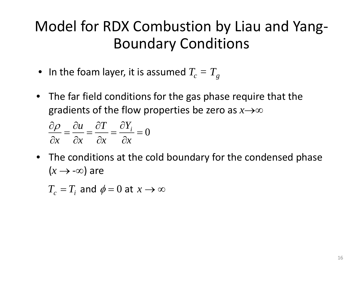### Model for RDX Combustion by Liau and Yang‐ Boundary Conditions

- $\bullet$  In the foam layer, it is assumed  $T_c = T_g$
- The far field conditions for the gas phase require that the gradients of the flow properties be zero as *<sup>x</sup>*→∞

$$
\frac{\partial \rho}{\partial x} = \frac{\partial u}{\partial x} = \frac{\partial T}{\partial x} = \frac{\partial Y_i}{\partial x} = 0
$$

• The conditions at the cold boundary for the condensed phase  $(x \rightarrow -\infty)$  are

$$
T_c = T_i \text{ and } \phi = 0 \text{ at } x \to \infty
$$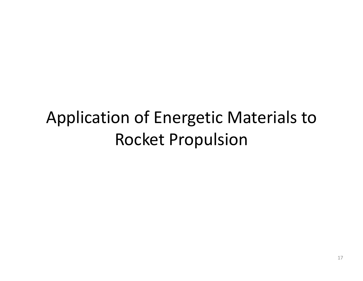### Application of Energetic Materials to Rocket Propulsion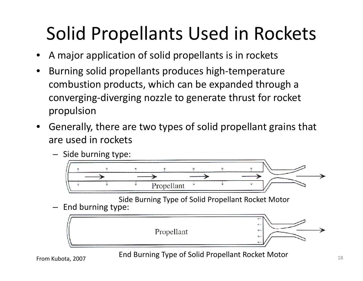## Solid Propellants Used in Rockets

- • $\bullet$  A major application of solid propellants is in rockets
- • Burning solid propellants produces high‐temperature combustion products, which can be expanded through <sup>a</sup> converging‐diverging nozzle to generate thrust for rocket propulsion
- $\bullet$ Generally, there are two types of solid propellant grains that are used in rockets
	- Side burning type:



Side Burning Type of Solid Propellant Rocket Motor

End burning type:



From Kubota, 2007 **End Burning Type of Solid Propellant Rocket Motor** 18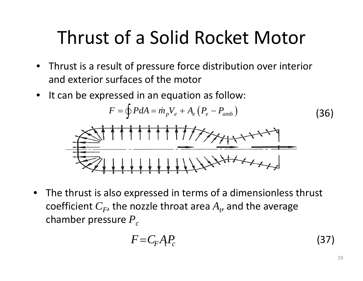## Thrust of <sup>a</sup> Solid Rocket Motor

- Thrust is a result of pressure force distribution over interior and exterior surfaces of the motor
- It can be expressed in an equation as follow:

$$
F = \oint P dA = \dot{m}_p V_e + A_e (P_e - P_{amb})
$$
\n(36)

• The thrust is also expressed in terms of <sup>a</sup> dimensionless thrust coefficient  $C_F$ , the nozzle throat area  $A_{\scriptscriptstyle{t}}$ , and the average chamber pressure  $P_{\rm\scriptscriptstyle C}$ 

$$
F = C_F A P_c \tag{37}
$$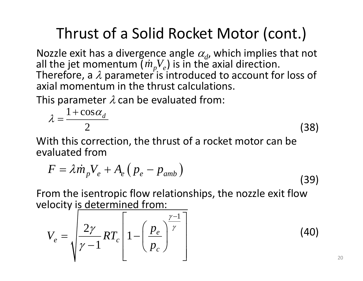### Thrust of a Solid Rocket Motor (cont.)

Nozzle exit has a divergence angle  $\alpha_d$ , which implies that not all the jet momentum ( $\dot{m}_{_p} V_{_e}$ ) is in the axial direction. Therefore, a  $\lambda$  parameter is introduced to account for loss of axial momentum in the thrust calculations calculations. $\dot{m}_p V_e$ 

This parameter  $\lambda$  can be evaluated from:

$$
\lambda = \frac{1 + \cos \alpha_d}{2} \tag{38}
$$

With this correction, the thrust of a rocket motor can be evaluated from

$$
F = \lambda \dot{m}_p V_e + A_e \left( p_e - p_{amb} \right)
$$
 (39)

From the isentropic flow relationships, the nozzle exit flow velocity is determined from:

$$
V_e = \sqrt{\frac{2\gamma}{\gamma - 1} RT_c} \left[ 1 - \left(\frac{p_e}{p_c}\right)^{\frac{\gamma - 1}{\gamma}} \right]
$$
(40)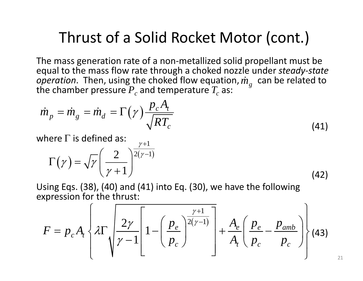#### Thrust of a Solid Rocket Motor (cont.)

The mass generation rate of a non ‐metallized solid propellant must be equal to the mass flow rate through a choked nozzle under *steady ‐state operation*. Then, using the choked flow equation,  $\dot{m}_a$  can be related to the chamber pressure  $P_{\scriptscriptstyle A}$  and temperature  $T_{\scriptscriptstyle A}$ *m*  $\emph{operation.}$  Then, using the choked flow equation,  $\dot{m}_g$ <br>he chamber pressure  $P_c$  and temperature  $T_c$  as:

$$
\dot{m}_p = \dot{m}_g = \dot{m}_d = \Gamma(\gamma) \frac{p_c A_t}{\sqrt{RT_c}}
$$
\nwhere  $\Gamma$  is defined as: (41)

$$
\Gamma(\gamma) = \sqrt{\gamma} \left(\frac{2}{\gamma + 1}\right)^{\frac{\gamma + 1}{2(\gamma - 1)}}
$$
(42)

Using Eqs. (38), (40) and (41) into Eq. (30), we have the following iexpression for the thrust:

$$
F = p_c A_t \left\{ \lambda \Gamma \sqrt{\frac{2\gamma}{\gamma - 1}} \left[ 1 - \left( \frac{p_e}{p_c} \right)^{\frac{\gamma + 1}{2(\gamma - 1)}} \right] + \frac{A_e}{A_t} \left( \frac{p_e}{p_c} - \frac{p_{amb}}{p_c} \right) \right\} (43)
$$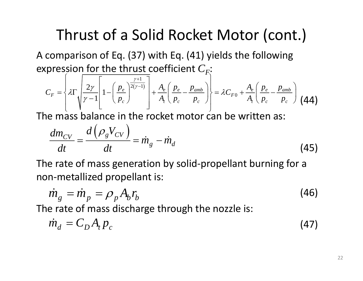### Thrust of <sup>a</sup> Solid Rocket Motor (cont.)

A comparison of Eq. (37) with Eq. (41) yields the following expression for the thrust coefficient  $C_F$ :

$$
C_F = \left\{\lambda \Gamma \sqrt{\frac{2\gamma}{\gamma - 1}} \left[1 - \left(\frac{p_e}{p_c}\right)^{\frac{\gamma + 1}{2(\gamma - 1)}}\right] + \frac{A_e}{A_t} \left(\frac{p_e}{p_c} - \frac{p_{amb}}{p_c}\right)\right\} = \lambda C_{F0} + \frac{A_e}{A_t} \left(\frac{p_e}{p_c} - \frac{p_{amb}}{p_c}\right)
$$
(44)

The mass balance in the rocket motor can be written as:

$$
\frac{dm_{CV}}{dt} = \frac{d\left(\rho_g V_{CV}\right)}{dt} = \dot{m}_g - \dot{m}_d \tag{45}
$$

The rate of mass generation by solid‐propellant burning for <sup>a</sup> non‐metallized propellant is:

$$
\dot{m}_g = \dot{m}_p = \rho_p A_b r_b \tag{46}
$$

The rate of mass discharge through the nozzle is:

$$
\dot{m}_d = C_D A_t p_c \tag{47}
$$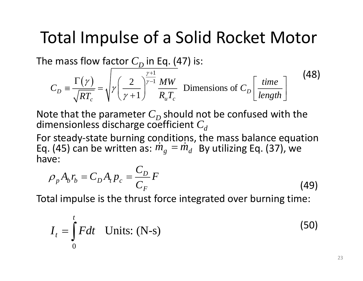### Total Impulse of <sup>a</sup> Solid Rocket Motor

The mass flow factor  $C^{\vphantom{\dagger}}_D$  in Eq. (47) is:

$$
C_D = \frac{\Gamma(\gamma)}{\sqrt{RT_c}} = \sqrt{\gamma \left(\frac{2}{\gamma + 1}\right)^{\frac{\gamma + 1}{\gamma - 1}} \frac{MW}{R_u T_c}}
$$
 Dimensions of  $C_D$   $\left[\frac{time}{length}\right]$  (48)

Note that the parameter  $C_{D}$  should not be confused with the dimensionless discharge coefficient  $C_d^{\phantom{\dagger}}$ 

For steady‐state burning conditions, the mass balance equation Eq. (45) can be written as:  $\dot{m}_g = \dot{m}_d$  By utilizing Eq. (37), we have:

$$
\rho_p A_b r_b = C_D A_t p_c = \frac{C_D}{C_F} F
$$
\n(49)

Total impulse is the thrust force integrated over burning time:

$$
I_t = \int_0^t Fdt \quad \text{Units: (N-s)}
$$
 (50)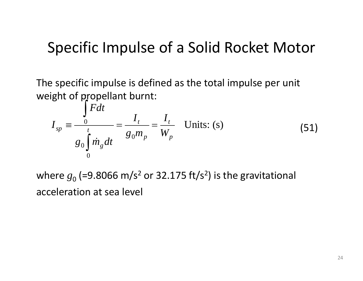#### Specific Impulse of <sup>a</sup> Solid Rocket Motor

The specific impulse is defined as the total impulse per unit weight of propellant burnt: *t*

$$
I_{sp} \equiv \frac{\int_{0}^{t} Fdt}{g_{0} \int_{0}^{t} \dot{m}_{g} dt} = \frac{I_{t}}{g_{0} m_{p}} = \frac{I_{t}}{W_{p}} \quad \text{Units: (s)}
$$
(51)

where  $g_{0}$  (=9.8066 m/s<sup>2</sup> or 32.175 ft/s<sup>2</sup>) is the gravitational acceleration at sea level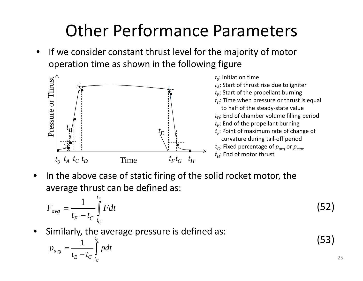### Other Performance Parameters

• $\bullet$  If we consider constant thrust level for the majority of motor operation time as shown in the following figure



• $\bullet$  In the above case of static firing of the solid rocket motor, the average thrust can be defined as:

$$
F_{avg} = \frac{1}{t_E - t_C} \int_{t_C}^{t_E} F dt
$$
\n(52)

 $\bullet$  Similarly, the average pressure is defined as: •

$$
p_{avg} = \frac{1}{t_E - t_C} \int_{t_C}^{t_E} p dt
$$
 (53)

25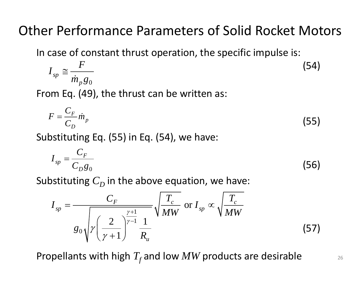#### Other Performance Parameters of Solid Rocket Motors

In case of constant thrust operation, the specific impulse is:

$$
I_{sp} \cong \frac{F}{\dot{m}_p g_0} \tag{54}
$$

From Eq. (49), the thrust can be written as:

$$
F = \frac{C_F}{C_D} \dot{m}_p \tag{55}
$$

Substituting Eq. (55) in Eq. (54), we have:

$$
I_{sp} = \frac{C_F}{C_D g_0} \tag{56}
$$

Substituting  $C_D^{}$  in the above equation, we have:

$$
I_{sp} = \frac{C_F}{g_0 \sqrt{\gamma \left(\frac{2}{\gamma + 1}\right)^{\frac{\gamma + 1}{\gamma - 1}}} \frac{1}{R_u}} \sqrt{\frac{T_c}{MW}} \text{ or } I_{sp} \propto \sqrt{\frac{T_c}{MW}}
$$
(57)

Propellants with high  $T_f$  and low  $MW$  products are desirable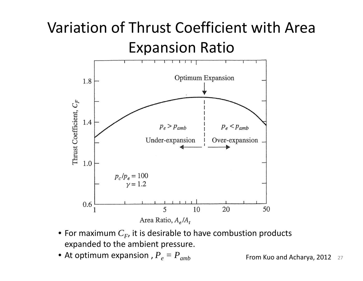### Variation of Thrust Coefficient with Area Expansion Ratio



- $\bullet$  For maximum  $C_{F}$ , it is desirable to have combustion products expanded to the ambient pressure.
- $\bullet$  At optimum expansion ,  ${P}_e = {P}_{amb}$

 $b$  **From Kuo and Acharya, 2012** 27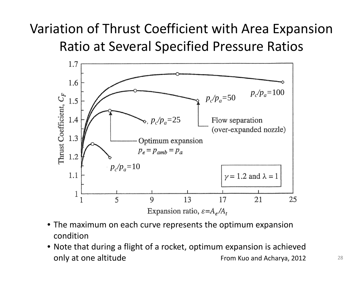#### Variation of Thrust Coefficient with Area Expansion Ratio at Several Specified Pressure Ratios



- The maximum on each curve represents the optimum expansion condition
- Note that during <sup>a</sup> flight of <sup>a</sup> rocket, optimum expansion is achieved only at one altitude and Acharya, 2012 and Acharya, 2012 and Acharya, 2012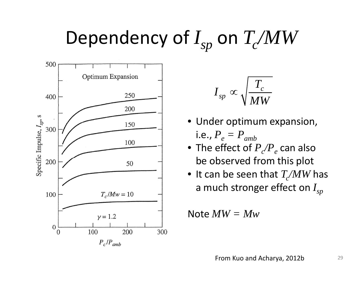# Dependency of  $I_{sp}$  on  $T_c/MW$



$$
I_{_{SP}} \propto \sqrt{\frac{T_c}{MW}}
$$

- Under optimum expansion, i.e.,  ${P}_{e} = {P}_{amb}$
- $\bullet\,$  The effect of  $P_{\c{c}}/P_{e}$  can also be observed from this plot
- $\bullet\,$  It can be seen that  $T_{\rm c}/\!MW$  has a much stronger effect on *Isp*

Note *MW = Mw*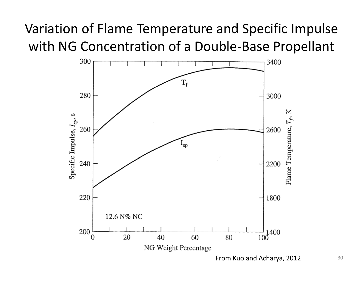#### Variation of Flame Temperature and Specific Impulse with NG Concentration of <sup>a</sup> Double‐Base Propellant

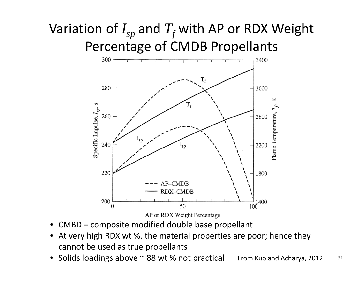### Variation of  $I_{sp}$  and  $T_f$  with AP or RDX Weight Percentage of CMDB Propellants



- • $\bullet$  CMBD = composite modified double base propellant
- • At very high RDX wt %, the material properties are poor; hence they cannot be used as true propellants
- From Kuo and Acharya, 2012 • Solids loadings above  $\sim$  88 wt % not practical From Kuo and Acharya, 2012  $\,$  31  $\,$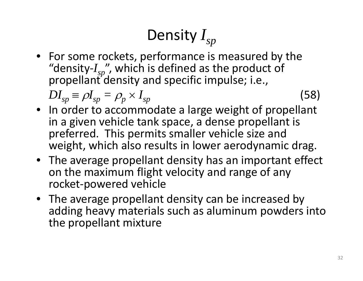## Density *Isp*

• For some rockets, performance is measured by the "density ‐ "density-*I<sub>sp</sub>",* which is defined as the product of<br>propellant density and specific impulse; i.e.*,* 

 $DI_{sp}^{\vphantom{\dagger}}=% \frac{\frac{1}{2}(5-2\epsilon) \Delta _{sp}}{\Delta _{sp}}\text{ \ } \label{eq.2.14}%$  $\rho I_{sp}^{\vphantom{\dagger}}=\rho_p^{\vphantom{\dagger}}\times$ *Isp* (58)

- In order to accommodate a large weight of propellant in a given vehicle tank space, <sup>a</sup> dense propellant is preferred. This permits smaller vehicle size and weight, which also results in lower aerodynamic drag.
- The average propellant density has an important effect on the maximum flight velocity and range of any rocket ‐powered vehicle
- The average propellant density can be increased by adding heavy materials such as aluminum powders into the propellant mixture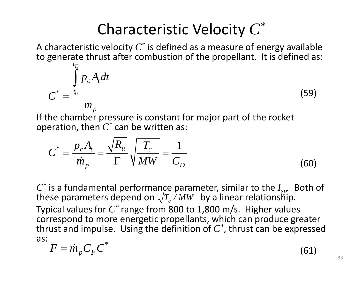### Characteristic Velocity *C\**

A characteristic velocity *C\** is defined as <sup>a</sup> measure of energy available to generate thrust after combustion of the propellant. It is defined as:

$$
C^* = \frac{\int_{t_0}^{t_E} p_c A_t dt}{m_p}
$$
 (59)

If the chamber pressure is constant for major part of the rocket *\** operation, then *C\** can be written as:

$$
C^* = \frac{p_c A_t}{\dot{m}_p} = \frac{\sqrt{R_u}}{\Gamma} \sqrt{\frac{T_c}{MW}} = \frac{1}{C_D}
$$
(60)

 $C^*$  is a fundamental performance parameter, similar to the  $I_{sp}$ . Both of these parameters depend on  $\sqrt{T_c/MW}$  by a linear relationship. Typical values for *C\** range from 800 to 1,800 m/s. Higher values correspond to more energetic propellants, which can produce greater thrust and impulse. Using the definition of  $C^*$ , thrust can be expressed as:*\**

$$
F = \dot{m}_p C_F C^* \tag{61}
$$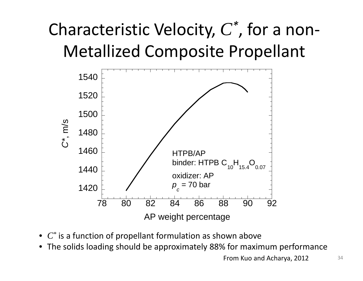## Characteristic Velocity, *C\**, for <sup>a</sup> non‐ Metallized Composite Propellant



- *C\** is a function of propellant formulation as shown above
- The solids loading should be approximately 88% for maximum performance

From Kuo and Acharya, 2012  $34$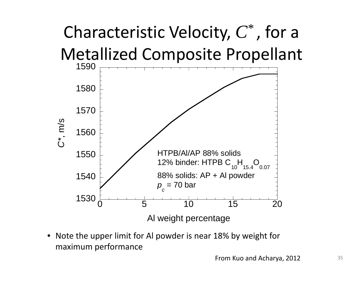

• Note the upper limit for Al powder is near 18% by weight for maximum performance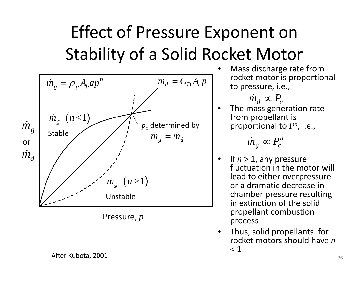### Effect of Pressure Exponent on Stability of a Solid Rocket Motor



Pressure, *p*

After Kubota, 2001  $_{36}$ 

•• Mass discharge rate from rocket motor is proportional to pressure, i.e

 $\dot{m_{d}} \propto P_{c}$ 

•• The mass generation rate from propellant is by  $\qquad \qquad \vert \qquad \text{proportional to } P^n \text{, i.e.,}$ 

$$
\dot{m}_g \propto P_c^n
$$

- •• If  $n > 1$ , any pressure fluctuation in the motor will lead to either overpressure or a dramatic decrease in chamber pressure resulting in extinction of the solid propellant combustion process
- Thus, solid propellants for •rocket motors should have *n*  $< 1\,$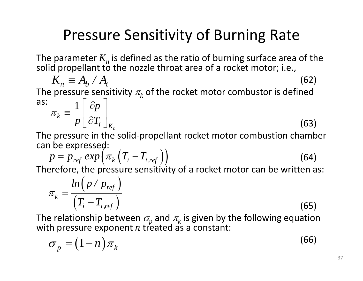### Pressure Sensitivity of Burning Rate

The parameter  $K_{n}$  is defined as the ratio of burning surface area of the solid propellant to the nozzle throat area of a rocket motor; i.e.,

$$
K_n \equiv A_b / A_t
$$
\nThe pressure sensitivity  $\pi_k$  of the rocket motor combustion is defined as:  $1 \lceil \partial p \rceil$ 

as:

$$
\pi_k \equiv \frac{1}{p} \left[ \frac{\partial p}{\partial T_i} \right]_{K_n}
$$
\n(63)

The pressure in the solid-propellant rocket motor combustion chamber can be expressed:

$$
p = p_{ref} \exp\left(\pi_k \left(T_i - T_{i,ref}\right)\right)
$$
\n
$$
p = p_{ref} \exp\left(\pi_k \left(T_i - T_{i,ref}\right)\right)
$$
\n(64)

Therefore, the pressure sensitivity of a rocket motor can be written as:

$$
\pi_k = \frac{\ln\left(p \mid p_{\text{ref}}\right)}{\left(T_i - T_{i,\text{ref}}\right)}
$$
(65)

The relationship between  $\sigma_{\!{}_p}$  and  $\pi_{\!{}_k}$  is given by the following equation with pressure exponent *n* treated as a constant:

$$
\sigma_p = (1 - n)\pi_k \tag{66}
$$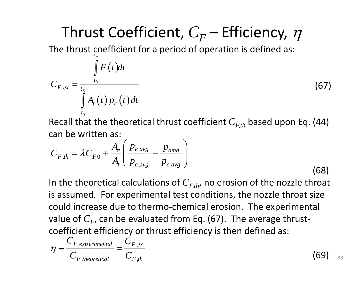### Thrust Coefficient,  $C_F^{\phantom i}$  – Efficiency,  $\eta$

The thrust coefficient for a period of operation is defined as:

$$
C_{F,ex} = \frac{\int_{t_E}^{t_E} F(t)dt}{\int_{t_0}^{t_A} A_t(t) p_c(t)dt}
$$
 (67)

Recall that the theoretical thrust coefficient  $C_{F,th}$  based upon Eq. (44) can be written as:

$$
C_{F,th} = \lambda C_{F0} + \frac{A_e}{A_t} \left( \frac{p_{e,avg}}{p_{c,avg}} - \frac{p_{amb}}{p_{c,avg}} \right)
$$
(68)

In the theoretical calculations of  $C_{F,th}$ , no erosion of the nozzle throat is assumed. For experimental test conditions, the nozzle throat size could increase due to thermo-chemical erosion. The experimental value of  $C_F$ , can be evaluated from Eq. (67). The average thrust ‐ coefficient efficiency or thrust efficiency is then defined as:

$$
\eta \equiv \frac{C_{F,experimental}}{C_{F,theoretical}} = \frac{C_{F,ex}}{C_{F,th}}
$$
\n(69)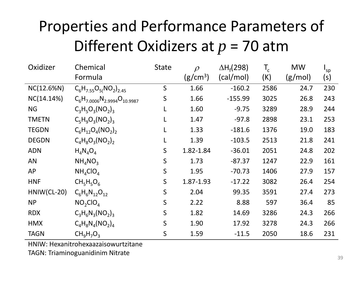### Properties and Performance Parameters of Different Oxidizers at *p* <sup>=</sup> 70 atm

| Oxidizer     | Chemical                             | <b>State</b> | $\rho$               | $\Delta H_f$ (298) | $T_c$ | <b>MW</b> | $I_{sp}$ |
|--------------|--------------------------------------|--------------|----------------------|--------------------|-------|-----------|----------|
|              | Formula                              |              | (g/cm <sup>3</sup> ) | (cal/mol)          | (K)   | (g/mol)   | (s)      |
| $NC(12.6\%)$ | $C_6H_{7.55}O_{5}(NO_2)_{2.45}$      | $\mathsf S$  | 1.66                 | $-160.2$           | 2586  | 24.7      | 230      |
| NC(14.14%)   | $C_6H_{7.0006}N_{2.9994}O_{10.9987}$ | S            | 1.66                 | $-155.99$          | 3025  | 26.8      | 243      |
| <b>NG</b>    | $C_3H_5O_3(NO_2)_3$                  |              | 1.60                 | $-9.75$            | 3289  | 28.9      | 244      |
| <b>TMETN</b> | $C_5H_9O_3(NO_2)_3$                  |              | 1.47                 | $-97.8$            | 2898  | 23.1      | 253      |
| <b>TEGDN</b> | $C_6H_{12}O_4(NO_2)$                 | L            | 1.33                 | $-181.6$           | 1376  | 19.0      | 183      |
| <b>DEGDN</b> | $C_4H_8O_3(NO_2)$                    |              | 1.39                 | $-103.5$           | 2513  | 21.8      | 241      |
| <b>ADN</b>   | $H_4N_4O_4$                          | S            | 1.82-1.84            | $-36.01$           | 2051  | 24.8      | 202      |
| AN           | $NH_{4}NO_{3}$                       | S            | 1.73                 | $-87.37$           | 1247  | 22.9      | 161      |
| <b>AP</b>    | NH <sub>4</sub> ClO <sub>4</sub>     | $\mathsf S$  | 1.95                 | $-70.73$           | 1406  | 27.9      | 157      |
| <b>HNF</b>   | $CH5H5O6$                            | S            | 1.87-1.93            | $-17.22$           | 3082  | 26.4      | 254      |
| HNIW(CL-20)  | $C_6H_6N_{12}O_{12}$                 | $\mathsf S$  | 2.04                 | 99.35              | 3591  | 27.4      | 273      |
| <b>NP</b>    | NO <sub>2</sub> ClO <sub>4</sub>     | S            | 2.22                 | 8.88               | 597   | 36.4      | 85       |
| <b>RDX</b>   | $C_3H_6N_3(NO_2)_3$                  | S            | 1.82                 | 14.69              | 3286  | 24.3      | 266      |
| <b>HMX</b>   | $C_4H_8N_4(NO_2)_4$                  | S            | 1.90                 | 17.92              | 3278  | 24.3      | 266      |
| <b>TAGN</b>  | $CH9H7O3$                            | S            | 1.59                 | $-11.5$            | 2050  | 18.6      | 231      |

HNIW: Hexanitrohexaazaisowurtzitane

TAGN: Triaminoguanidinim Nitrate  $_{39}$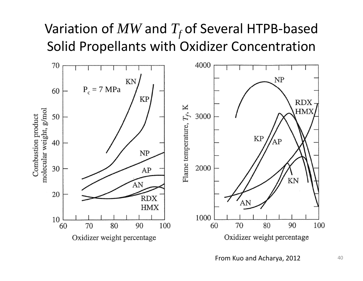#### Variation of  $MW$  and  $T_f$  of Several HTPB-based Solid Propellants with Oxidizer Concentration



From Kuo and Acharya, 2012  $10^{40}$